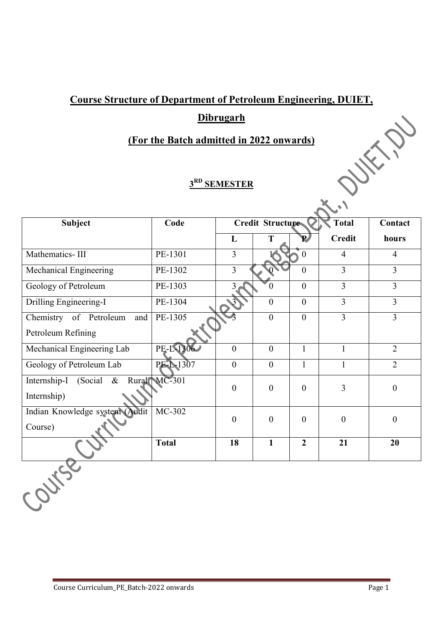## **Dibrugarh**

## **(For the Batch admitted in 2022 onwards)**

# **3RD SEMESTER**

| <b>Course Structure of Department of Petroleum Engineering, DUIET,</b> |              |                  |                         |                  |                  |                  |  |  |  |  |
|------------------------------------------------------------------------|--------------|------------------|-------------------------|------------------|------------------|------------------|--|--|--|--|
| <b>Dibrugarh</b>                                                       |              |                  |                         |                  |                  |                  |  |  |  |  |
| (For the Batch admitted in 2022 onwards)<br>$\checkmark$ ,             |              |                  |                         |                  |                  |                  |  |  |  |  |
| 3 <sup>RD</sup> SEMESTER                                               |              |                  |                         |                  |                  |                  |  |  |  |  |
| <b>Subject</b>                                                         | Code         |                  | <b>Credit Structure</b> |                  | <b>Total</b>     | Contact          |  |  |  |  |
|                                                                        |              | L                | T                       | $\mathbf{P}$     | <b>Credit</b>    | hours            |  |  |  |  |
| Mathematics-III                                                        | PE-1301      | $\overline{3}$   |                         | $\mathbf{0}$     | $\overline{4}$   | $\overline{4}$   |  |  |  |  |
| Mechanical Engineering                                                 | PE-1302      | $\overline{3}$   |                         | $\overline{0}$   | $\overline{3}$   | $\overline{3}$   |  |  |  |  |
| Geology of Petroleum                                                   | PE-1303      | 3                | $\theta$                | $\theta$         | $\overline{3}$   | $\overline{3}$   |  |  |  |  |
| Drilling Engineering-I                                                 | PE-1304      |                  | $\boldsymbol{0}$        | $\boldsymbol{0}$ | $\overline{3}$   | $\overline{3}$   |  |  |  |  |
| Chemistry of Petroleum<br>and<br>Petroleum Refining                    | PE-1305      |                  | $\overline{0}$          | $\overline{0}$   | $\overline{3}$   | $\overline{3}$   |  |  |  |  |
| Mechanical Engineering Lab                                             | PE-L1306     | $\overline{0}$   | $\boldsymbol{0}$        | $\mathbf{1}$     | $\mathbf{1}$     | $\overline{2}$   |  |  |  |  |
| Geology of Petroleum Lab                                               | PE-1-1307    | $\boldsymbol{0}$ | $\boldsymbol{0}$        | $\mathbf{1}$     | $\mathbf{1}$     | $\overline{2}$   |  |  |  |  |
| Internship-I (Social<br>$\&$<br>Internship)                            | Rural MC-301 | $\boldsymbol{0}$ | $\boldsymbol{0}$        | $\boldsymbol{0}$ | $\overline{3}$   | $\boldsymbol{0}$ |  |  |  |  |
| Indian Knowledge system (Audit<br>Course)                              | $MC-302$     | $\boldsymbol{0}$ | $\boldsymbol{0}$        | $\boldsymbol{0}$ | $\boldsymbol{0}$ | $\boldsymbol{0}$ |  |  |  |  |
|                                                                        | <b>Total</b> | 18               | $\mathbf{1}$            | $\overline{2}$   | 21               | 20               |  |  |  |  |
| Contra                                                                 |              |                  |                         |                  |                  |                  |  |  |  |  |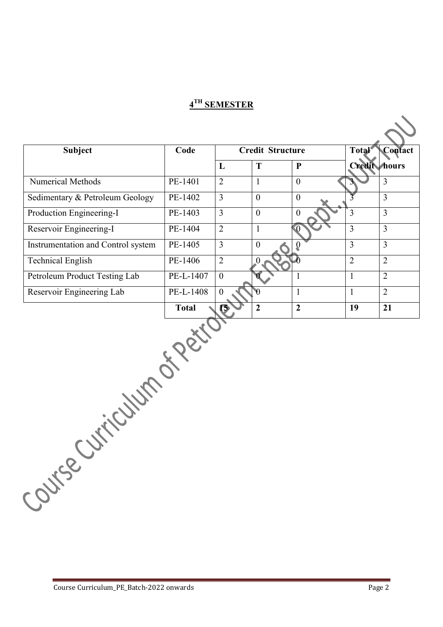| <b>Subject</b>                     | Code         | <b>Credit Structure</b> |                  |                | <b>Total</b>        | Contact        |  |
|------------------------------------|--------------|-------------------------|------------------|----------------|---------------------|----------------|--|
|                                    |              | L                       | T                | $\mathbf{P}$   | <b>Credit hours</b> |                |  |
| Numerical Methods                  | PE-1401      | $\overline{2}$          | $\mathbf{1}$     | $\overline{0}$ |                     | $\overline{3}$ |  |
| Sedimentary & Petroleum Geology    | PE-1402      | $\overline{3}$          | $\overline{0}$   | $\overline{0}$ |                     | $\overline{3}$ |  |
| Production Engineering-I           | PE-1403      | $\overline{3}$          | $\boldsymbol{0}$ | $\mathbf{0}$   | $\overline{3}$      | $\overline{3}$ |  |
| Reservoir Engineering-I            | PE-1404      | $\overline{2}$          | $\mathbf{1}$     | $\overline{0}$ | $\overline{3}$      | $\overline{3}$ |  |
| Instrumentation and Control system | PE-1405      | $\overline{3}$          | $\boldsymbol{0}$ | Q              | $\overline{3}$      | $\overline{3}$ |  |
| <b>Technical English</b>           | PE-1406      | $\overline{2}$          | $\overline{0}$   |                | $\overline{2}$      | $\overline{2}$ |  |
| Petroleum Product Testing Lab      | PE-L-1407    | $\overline{0}$          |                  | $\mathbf{1}$   | $\mathbf{1}$        | $\overline{2}$ |  |
| Reservoir Engineering Lab          | PE-L-1408    | $\overline{0}$          | $\theta$         | $\mathbf{1}$   | $\mathbf{1}$        | $\overline{2}$ |  |
|                                    | <b>Total</b> | 0                       | $\overline{2}$   | $\overline{2}$ | 19                  | 21             |  |
| Custication of Period              |              |                         |                  |                |                     |                |  |
| Covingen                           |              |                         |                  |                |                     |                |  |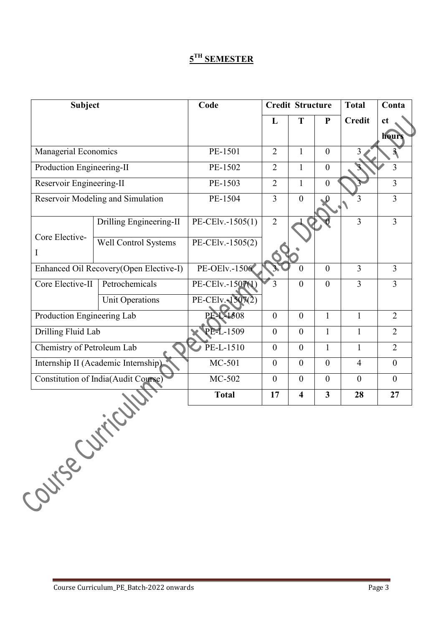|                            | <b>Subject</b>                             | Code                 | <b>Credit Structure</b> |                         | <b>Total</b>            | Conta            |                |
|----------------------------|--------------------------------------------|----------------------|-------------------------|-------------------------|-------------------------|------------------|----------------|
|                            |                                            |                      | L                       | T                       | ${\bf P}$               | <b>Credit</b>    | ct             |
|                            |                                            |                      |                         |                         |                         |                  | hour!          |
| Managerial Economics       |                                            | PE-1501              | $\overline{2}$          | $\mathbf{1}$            | $\overline{0}$          | 3                |                |
| Production Engineering-II  |                                            | PE-1502              | 2                       | $\mathbf{1}$            | $\overline{0}$          |                  | $\overline{3}$ |
| Reservoir Engineering-II   |                                            | PE-1503              | 2                       | $\mathbf{1}$            | $\boldsymbol{0}$        |                  | $\overline{3}$ |
|                            | Reservoir Modeling and Simulation          | PE-1504              | $\overline{3}$          | $\overline{0}$          |                         | 3                | $\overline{3}$ |
|                            | Drilling Engineering-II                    | PE-CElv.-1505(1)     | $\overline{2}$          |                         |                         | $\overline{3}$   | $\overline{3}$ |
| Core Elective-<br>I        | <b>Well Control Systems</b>                | PE-CElv.-1505(2)     |                         |                         |                         |                  |                |
|                            | Enhanced Oil Recovery(Open Elective-I)     | <b>PE-OElv.-1506</b> |                         | $\theta$                | $\overline{0}$          | $\overline{3}$   | $\overline{3}$ |
| Core Elective-II           | Petrochemicals                             | PE-CElv.-1507(1)     | 3                       | $\overline{0}$          | $\overline{0}$          | 3                | $\overline{3}$ |
|                            | Unit Operations                            | PE-CElv.-1507(2)     |                         |                         |                         |                  |                |
| Production Engineering Lab |                                            | PE-L-1508            | $\theta$                | $\mathbf{0}$            | $\mathbf{1}$            | $\mathbf{1}$     | $\overline{2}$ |
| Drilling Fluid Lab         |                                            | PE-L-1509            | $\mathbf{0}$            | $\overline{0}$          | $\mathbf{1}$            | $\mathbf{1}$     | $\overline{2}$ |
| Chemistry of Petroleum Lab |                                            | $PE-L-1510$          | $\mathbf{0}$            | $\overline{0}$          | $\mathbf{1}$            | $\mathbf{1}$     | $\overline{2}$ |
|                            | Internship II (Academic Internship)        | MC-501               | $\mathbf{0}$            | $\overline{0}$          | $\overline{0}$          | $\overline{4}$   | $\theta$       |
|                            | <b>Constitution of India(Audit Course)</b> | MC-502               | $\mathbf{0}$            | $\overline{0}$          | $\boldsymbol{0}$        | $\boldsymbol{0}$ | $\theta$       |
|                            |                                            | <b>Total</b>         | 17                      | $\overline{\mathbf{4}}$ | $\overline{\mathbf{3}}$ | 28               | 27             |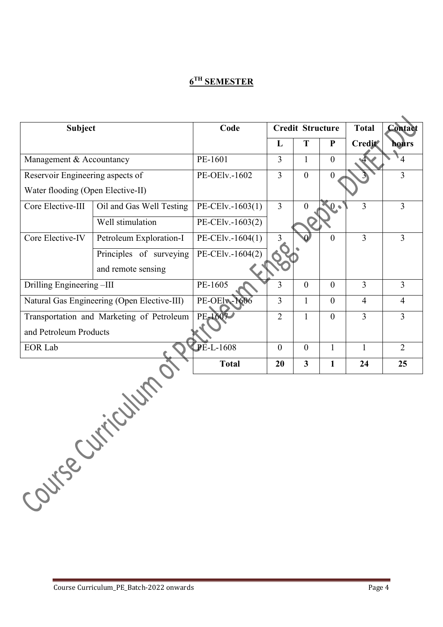| <b>Subject</b>                    |                                             | Code                |                | <b>Credit Structure</b> |                | <b>Total</b>                                                                                    | <b>Contact</b> |
|-----------------------------------|---------------------------------------------|---------------------|----------------|-------------------------|----------------|-------------------------------------------------------------------------------------------------|----------------|
|                                   |                                             |                     | $\bf{L}$       | T                       | ${\bf P}$      | <b>Credit</b>                                                                                   | <b>hours</b>   |
| Management & Accountancy          |                                             | PE-1601             | $\overline{3}$ | $\mathbf{1}$            | $\overline{0}$ |                                                                                                 | $\overline{4}$ |
| Reservoir Engineering aspects of  |                                             | PE-OElv.-1602       | $\overline{3}$ | $\overline{0}$          | $\overline{0}$ |                                                                                                 | $\overline{3}$ |
| Water flooding (Open Elective-II) |                                             |                     |                |                         |                |                                                                                                 |                |
| Core Elective-III                 | Oil and Gas Well Testing                    | PE-CElv.-1603(1)    | $\overline{3}$ | $\theta$                | $\mathbf{0}$ . | $\overline{3}$<br>3<br>$\overline{3}$<br>$\overline{4}$<br>$\overline{3}$<br>$\mathbf{1}$<br>24 | $\overline{3}$ |
|                                   | Well stimulation                            | PE-CElv.-1603(2)    |                |                         |                |                                                                                                 |                |
| Core Elective-IV                  | Petroleum Exploration-I                     | PE-CElv.-1604(1)    | $\overline{3}$ |                         | $\theta$       |                                                                                                 | $\overline{3}$ |
|                                   | Principles of surveying                     | PE-CElv.-1604(2)    |                |                         |                |                                                                                                 |                |
|                                   | and remote sensing                          |                     |                |                         |                |                                                                                                 |                |
| Drilling Engineering-III          |                                             | PE-1605             | 3              | $\theta$                | $\mathbf{0}$   |                                                                                                 | $\overline{3}$ |
|                                   | Natural Gas Engineering (Open Elective-III) | <b>PE-OElv-1606</b> | $\overline{3}$ | $\mathbf{1}$            | $\mathbf{0}$   |                                                                                                 | $\overline{4}$ |
|                                   | Transportation and Marketing of Petroleum   | PE-1607             | $\overline{2}$ | $\mathbf{1}$            | $\mathbf{0}$   |                                                                                                 | $\overline{3}$ |
| and Petroleum Products            |                                             |                     |                |                         |                |                                                                                                 |                |
| <b>EOR Lab</b>                    |                                             | PE-L-1608           | $\mathbf{0}$   | $\mathbf{0}$            | $\mathbf{1}$   |                                                                                                 | $\overline{2}$ |
|                                   |                                             | <b>Total</b>        | 20             | $\overline{\mathbf{3}}$ | $\mathbf{1}$   |                                                                                                 | 25             |
|                                   | Cuttion Co.                                 |                     |                |                         |                |                                                                                                 |                |
| Course                            |                                             |                     |                |                         |                |                                                                                                 |                |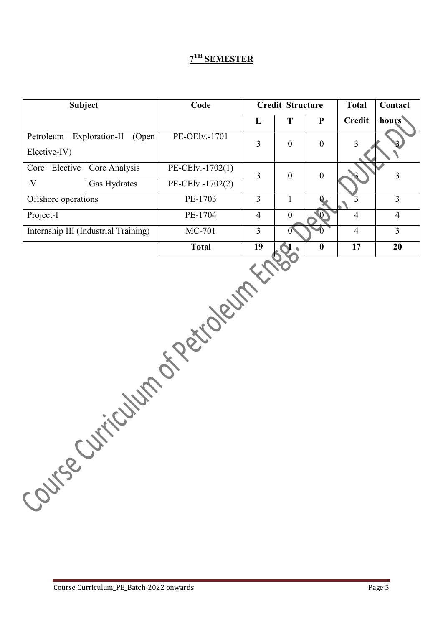|                           | <b>Subject</b><br>Code<br><b>Credit Structure</b> |                              |                | <b>Total</b>              | Contact          |                |                         |
|---------------------------|---------------------------------------------------|------------------------------|----------------|---------------------------|------------------|----------------|-------------------------|
|                           |                                                   |                              | L              | T                         | ${\bf P}$        | <b>Credit</b>  | hours                   |
| Petroleum<br>Elective-IV) | Exploration-II<br>(Open                           | PE-OElv.-1701                | $\overline{3}$ | $\boldsymbol{0}$          | $\boldsymbol{0}$ | $\overline{3}$ |                         |
| Core Elective             | Core Analysis                                     | PE-CElv.-1702(1)             | $\overline{3}$ | $\boldsymbol{0}$          | $\boldsymbol{0}$ |                | $\overline{\mathbf{3}}$ |
| $-V$                      | Gas Hydrates                                      | PE-CElv.-1702(2)             |                |                           |                  |                |                         |
| Offshore operations       |                                                   | PE-1703                      | $\overline{3}$ | $\mathbf{1}$              | $\bf{0}$         | $\overline{3}$ | $\overline{3}$          |
| Project-I                 |                                                   | PE-1704                      | $\overline{4}$ | $\boldsymbol{0}$          | $\mathbf{0}$     | $\overline{4}$ | $\overline{4}$          |
|                           | Internship III (Industrial Training)              | MC-701                       | $\overline{3}$ | $\mathbf{0}^{\mathsf{c}}$ |                  | $\overline{4}$ | $\overline{3}$          |
|                           |                                                   | <b>Total</b>                 | 19             |                           | $\boldsymbol{0}$ | 17             | 20                      |
|                           |                                                   | Course Curriculum de Régions |                |                           |                  |                |                         |